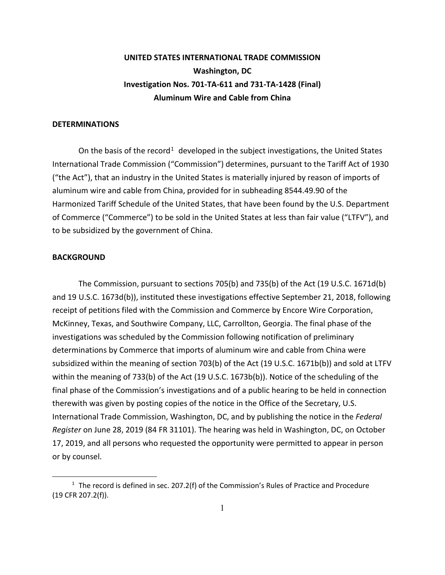## **UNITED STATES INTERNATIONAL TRADE COMMISSION Washington, DC Investigation Nos. 701-TA-611 and 731-TA-1428 (Final) Aluminum Wire and Cable from China**

## **DETERMINATIONS**

On the basis of the record<sup>[1](#page-0-0)</sup> developed in the subject investigations, the United States International Trade Commission ("Commission") determines, pursuant to the Tariff Act of 1930 ("the Act"), that an industry in the United States is materially injured by reason of imports of aluminum wire and cable from China, provided for in subheading 8544.49.90 of the Harmonized Tariff Schedule of the United States, that have been found by the U.S. Department of Commerce ("Commerce") to be sold in the United States at less than fair value ("LTFV"), and to be subsidized by the government of China.

## **BACKGROUND**

 $\overline{a}$ 

The Commission, pursuant to sections 705(b) and 735(b) of the Act (19 U.S.C. 1671d(b) and 19 U.S.C. 1673d(b)), instituted these investigations effective September 21, 2018, following receipt of petitions filed with the Commission and Commerce by Encore Wire Corporation, McKinney, Texas, and Southwire Company, LLC, Carrollton, Georgia. The final phase of the investigations was scheduled by the Commission following notification of preliminary determinations by Commerce that imports of aluminum wire and cable from China were subsidized within the meaning of section 703(b) of the Act (19 U.S.C. 1671b(b)) and sold at LTFV within the meaning of 733(b) of the Act (19 U.S.C. 1673b(b)). Notice of the scheduling of the final phase of the Commission's investigations and of a public hearing to be held in connection therewith was given by posting copies of the notice in the Office of the Secretary, U.S. International Trade Commission, Washington, DC, and by publishing the notice in the *Federal Register* on June 28, 2019 (84 FR 31101). The hearing was held in Washington, DC, on October 17, 2019, and all persons who requested the opportunity were permitted to appear in person or by counsel.

<span id="page-0-0"></span> $1$  The record is defined in sec. 207.2(f) of the Commission's Rules of Practice and Procedure (19 CFR 207.2(f)).